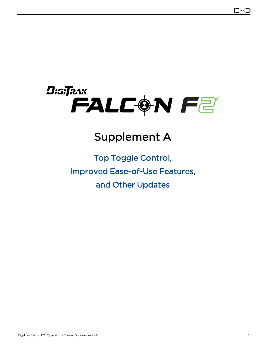

# Supplement A

# Top Toggle Control, Improved Ease-of-Use Features, and Other Updates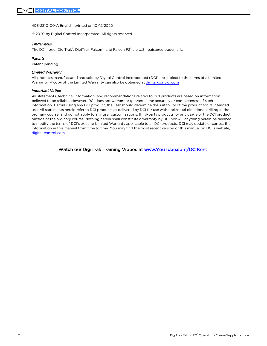403-2310-00-A English, printed on 10/12/2020

© 2020 by Digital Control Incorporated. All rights reserved.

#### *Trademarks*

The DCI® logo, DigiTrak®, DigiTrak Falcon®, and Falcon F2® are U.S. registered trademarks.

#### *Patents*

Patent pending.

#### *Limited Warranty*

All products manufactured and sold by Digital Control Incorporated (DCI) are subject to the terms of a Limited Warranty. A copy of the Limited Warranty can also be obtained at [digital-control.com](http://digital-control.com/).

#### *Important Notice*

All statements, technical information, and recommendations related to DCI products are based on information believed to be reliable. However, DCI does not warrant or guarantee the accuracy or completeness of such information. Before using any DCI product, the user should determine the suitability of the product for its intended use. All statements herein refer to DCI products as delivered by DCI for use with horizontal directional drilling in the ordinary course, and do not apply to any user customizations, third-party products, or any usage of the DCI product outside of the ordinary course. Nothing herein shall constitute a warranty by DCI nor will anything herein be deemed to modify the terms of DCI's existing Limited Warranty applicable to all DCI products. DCI may update or correct the information in this manual from time to time. You may find the most recent version of this manual on DCI's website, [digital-control.com](http://digital-control.com/).

Watch our DigiTrak Training Videos at [www.YouTube.com/DCIKent](http://www.youtube.com/DCIKent)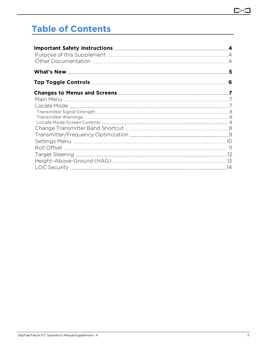#### D

# **Table of Contents**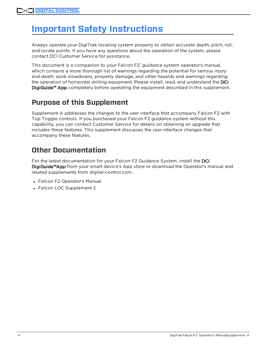# <span id="page-3-0"></span>**Important Safety Instructions**

Always operate your DigiTrak locating system properly to obtain accurate depth, pitch, roll, and locate points. If you have any questions about the operation of the system, please contact DCI Customer Service for assistance.

This document is a companion to your Falcon F2<sup>®</sup> guidance system operator's manual, which contains a more thorough list of warnings regarding the potential for serious injury and death, work slowdowns, property damage, and other hazards and warnings regarding the operation of horizontal drilling equipment. Please install, read, and understand the DCI DigiGuide™ App completely before operating the equipment described in this supplement.

## <span id="page-3-1"></span>**Purpose of this Supplement**

Supplement A addresses the changes to the user interface that accompany Falcon F2 with Top Toggle controls. If you purchased your Falcon F2 guidance system without this capability, you can contact Customer Service for details on obtaining an upgrade that includes these features. This supplement discusses the user interface changes that accompany these features.

## <span id="page-3-2"></span>**Other Documentation**

For the latest documentation for your Falcon F2 Guidance System, install the DCI DigiGuide™App from your smart device's App store or download the Operator's manual and related supplements from digital-control.com.

- Falcon F2 Operator's Manual
- Falcon LOC Supplement C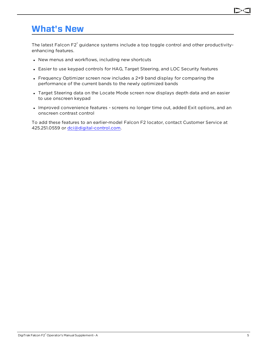## <span id="page-4-0"></span>**What's New**

The latest Falcon F2<sup>®</sup> guidance systems include a top toggle control and other productivityenhancing features.

- New menus and workflows, including new shortcuts
- Easier to use keypad controls for HAG, Target Steering, and LOC Security features
- Frequency Optimizer screen now includes a 2+9 band display for comparing the performance of the current bands to the newly optimized bands
- Target Steering data on the Locate Mode screen now displays depth data and an easier to use onscreen keypad
- Improved convenience features screens no longer time out, added Exit options, and an onscreen contrast control

To add these features to an earlier-model Falcon F2 locator, contact Customer Service at 425.251.0559 or [dci@digital-control.com.](mailto:dci@digital-control.com)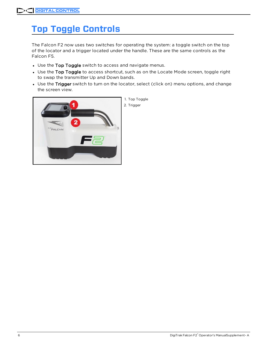# <span id="page-5-0"></span>**Top Toggle Controls**

The Falcon F2 now uses two switches for operating the system: a toggle switch on the top of the locator and a trigger located under the handle. These are the same controls as the Falcon F5.

- Use the Top Toggle switch to access and navigate menus.
- Use the Top Toggle to access shortcut, such as on the Locate Mode screen, toggle right to swap the transmitter Up and Down bands.
- Use the Trigger switch to turn on the locator, select (click on) menu options, and change the screen view.

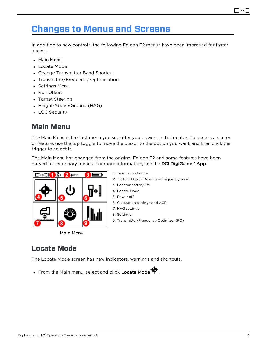## <span id="page-6-0"></span>**Changes to Menus and Screens**

In addition to new controls, the following Falcon F2 menus have been improved for faster access.

- Main Menu
- Locate Mode
- Change Transmitter Band Shortcut
- Transmitter/Frequency Optimization
- Settings Menu
- Roll Offset
- Target Steering
- Height-Above-Ground (HAG)
- <span id="page-6-1"></span>• LOC Security

### **Main Menu**

The Main Menu is the first menu you see after you power on the locator. To access a screen or feature, use the top toggle to move the cursor to the option you want, and then click the trigger to select it.

The Main Menu has changed from the original Falcon F2 and some features have been moved to secondary menus. For more information, see the DCI DigiGuide™ App.



Main Menu

#### 1. Telemetry channel

- 2. TX Band Up or Down and frequency band
- 3. Locator battery life
- 4. Locate Mode
- 5. Power off
- 6. Calibration settings and AGR
- 7. HAG settings
- 8. Settings
- 9. Transmitter/Frequency Optimizer (FO)

### <span id="page-6-2"></span>**Locate Mode**

The Locate Mode screen has new indicators, warnings and shortcuts.

• From the Main menu, select and click Locate Mode  $\blacklozenge$ .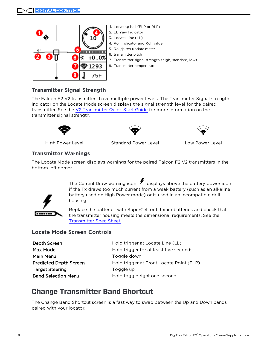

#### <span id="page-7-0"></span>**Transmitter Signal Strength**

The Falcon F2 V2 transmitters have multiple power levels. The Transmitter Signal strength indicator on the Locate Mode screen displays the signal strength level for the paired transmitter. See the V2 [Transmitter](https://dci.zendesk.com/hc/en-us/categories/115000411413-Transmitters) Quick Start Guide for more information on the transmitter signal strength.





High Power Level Standard Power Level Low Power Level

#### <span id="page-7-1"></span>**Transmitter Warnings**

The Locate Mode screen displays warnings for the paired Falcon F2 V2 transmitters in the bottom left corner.

> The Current Draw warning icon  $\bigtriangledown$  displays above the battery power icon if the Tx draws too much current from a weak battery (such as an alkaline battery used on High Power mode) or is used in an incompatible drill housing.



Replace the batteries with SuperCell or Lithium batteries and check that the transmitter housing meets the dimensional requirements. See the [Transmitter](https://dci.zendesk.com/hc/en-us/categories/115000411413-Transmitters) Spec Sheet.

#### <span id="page-7-2"></span>**Locate Mode Screen Controls**

| Depth Screen                  | Hold trigger at Locate Line (LL)         |
|-------------------------------|------------------------------------------|
| Max Mode                      | Hold trigger for at least five seconds   |
| Main Menu                     | Toggle down                              |
| <b>Predicted Depth Screen</b> | Hold trigger at Front Locate Point (FLP) |
| <b>Target Steering</b>        | Toggle up                                |
| <b>Band Selection Menu</b>    | Hold toggle right one second             |

### <span id="page-7-3"></span>**Change Transmitter Band Shortcut**

The Change Band Shortcut screen is a fast way to swap between the Up and Down bands paired with your locator.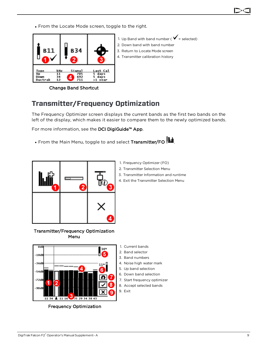• From the Locate Mode screen, toggle to the right.



1. Up Band with band number ( $\checkmark$  = selected) 2. Down band with band number 3. Return to Locate Mode screen 4. Transmitter calibration history

Change Band Shortcut

## <span id="page-8-0"></span>**Transmitter/Frequency Optimization**

The Frequency Optimizer screen displays the current bands as the first two bands on the left of the display, which makes it easier to compare them to the newly optimized bands.

For more information, see the DCI DigiGuide™ App.

• From the Main Menu, toggle to and select Transmitter/FO  $\frac{\| \mathbf{L} \cdot \mathbf{L} \|}{\| \mathbf{L} \|}$ .



- 1. Frequency Optimizer (FO)
- 2. Transmitter Selection Menu
- 3. Transmitter Information and runtime
- 4. Exit the Transmitter Selection Menu



Transmitter/Frequency Optimization Menu

 $11\,34$   $11\,16$   $2$   $25\,29\,34\,38\,43$ Frequency Optimization

1. Current bands

- 2. Band selector
- 3. Band numbers
- 4. Noise high water mark
- 5. Up band selection
- 6. Down band selection
- 7. Start frequency optimizer
- 8. Accept selected bands
- 9. Exit

×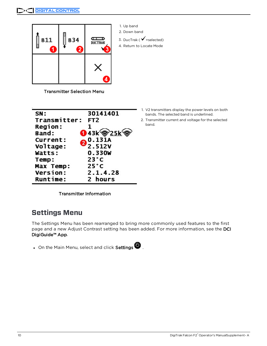

1. Up band 2. Down band

3. DucTrak ( $\checkmark$  =selected)

4. Return to Locate Mode

Transmitter Selection Menu

| SN:             | 30141401        |
|-----------------|-----------------|
| Transmitter:    | FT <sub>2</sub> |
| <b>Region:</b>  | 1               |
| Band:           | O 43k @25k      |
| <b>Current:</b> | 0.131A          |
| Voltage:        | 2.512V          |
| Watts:          | 0.330W          |
| Temp:           | $23^{\circ}$ C  |
| Max Temp:       | $25^{\circ}$ C  |
| <b>Version:</b> | 2.1.4.28        |
| <b>Runtime:</b> | 2 hours         |

- 1. V2 transmitters display the power levels on both bands. The selected band is underlined.
- 2. Transmitter current and voltage for the selected band.

Transmitter Information

## <span id="page-9-0"></span>**Settings Menu**

The Settings Menu has been rearranged to bring more commonly used features to the first page and a new Adjust Contrast setting has been added. For more information, see the DCI DigiGuide™ App.

• On the Main Menu, select and click Settings  $\bigcirc$ .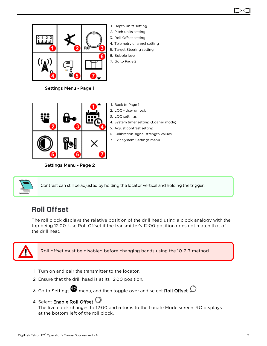

1. Depth units setting 2. Pitch units setting 3. Roll Offset setting 4. Telemetry channel setting 5. Target Steering setting 6. Bubble level 7. Go to Page 2

Settings Menu - Page 1



Settings Menu - Page 2

2. LOC - User unlock 3. LOC settings 4. System timer setting (Loaner mode) 5. Adjust contrast setting

1. Back to Page 1

- 6. Calibration signal strength values
- 7. Exit System Settings menu



Contrast can still be adjusted by holding the locator vertical and holding the trigger.

### <span id="page-10-0"></span>**Roll Offset**

The roll clock displays the relative position of the drill head using a clock analogy with the top being 12:00. Use Roll Offset if the transmitter's 12:00 position does not match that of the drill head.



Roll offset must be disabled before changing bands using the 10-2-7 method.

- 1. Turn on and pair the transmitter to the locator.
- 2. Ensure that the drill head is at its 12:00 position.
- 3. Go to Settings  $\bullet$  menu, and then toggle over and select Roll Offset  $\bullet$ .
- 4. Select Enable Roll Offset  $\mathbb{Q}_1$ .

The live clock changes to 12:00 and returns to the Locate Mode screen. RO displays at the bottom left of the roll clock.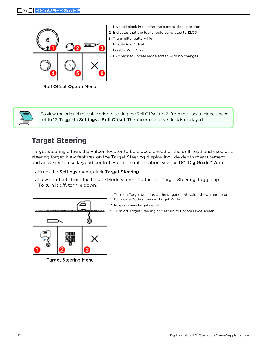

Roll Offset Option Menu



To view the original roll value prior to setting the Roll Offset to 12, from the Locate Mode screen, roll to 12. Toggle to Settings > Roll Offset. The uncorrected live clock is displayed.

#### <span id="page-11-0"></span>**Target Steering**

Target Steering allows the Falcon locator to be placed ahead of the drill head and used as a steering target. New features on the Target Steering display include depth measurement and an easier to use keypad control. For more information, see the DCI DigiGuide™ App.

- . From the Settings menu, click Target Steering.
- New shortcuts from the Locate Mode screen: To turn on Target Steering, toggle up. To turn it off, toggle down.



Target Steering Menu

- 1. Turn on Target Steering at the target depth value shown and return to Locate Mode screen in Target Mode
- 2. Program new target depth
- 3. Turn off Target Steering and return to Locate Mode screen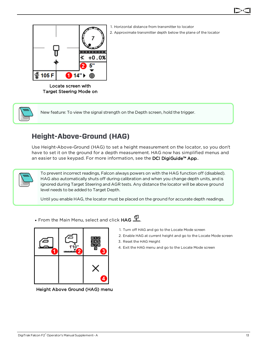



- 1. Horizontal distance from transmitter to locator
- 2. Approximate transmitter depth below the plane of the locator

Locate screen with Target Steering Mode on



New feature: To view the signal strength on the Depth screen, hold the trigger.

## <span id="page-12-0"></span>**Height-Above-Ground (HAG)**

Use Height-Above-Ground (HAG) to set a height measurement on the locator, so you don't have to set it on the ground for a depth measurement. HAG now has simplified menus and an easier to use keypad. For more information, see the DCI DigiGuide™ App..



To prevent incorrect readings, Falcon always powers on with the HAG function off (disabled). HAG also automatically shuts off during calibration and when you change depth units, and is ignored during Target Steering and AGR tests. Any distance the locator will be above ground level needs to be added to Target Depth.

Until you enable HAG, the locator must be placed on the ground for accurate depth readings.

• From the Main Menu, select and click  $HAG \stackrel{d}{\longrightarrow}$ .



Height Above Ground (HAG) menu

- 1. Turn off HAG and go to the Locate Mode screen
- 2. Enable HAG at current height and go to the Locate Mode screen
- 3. Reset the HAG Height
- 4. Exit the HAG menu and go to the Locate Mode screen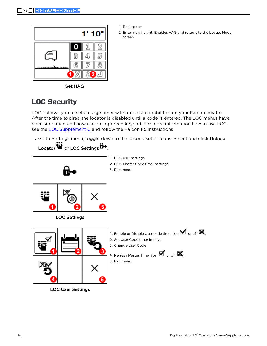

- 1. Backspace
- 2. Enter new height. Enables HAG and returns to the Locate Mode screen

Set HAG

## <span id="page-13-0"></span>**LOC Security**

LOC™ allows you to set a usage timer with lock-out capabilities on your Falcon locator. After the time expires, the locator is disabled until a code is entered. The LOC menus have been simplified and now use an improved keypad. For more information how to use LOC, see the LOC [Supplement](https://dci.zendesk.com/hc/en-us/articles/360000589753-Supplement-C-LOC) C and follow the Falcon F5 instructions.

. Go to Settings menu, toggle down to the second set of icons. Select and click Unlock